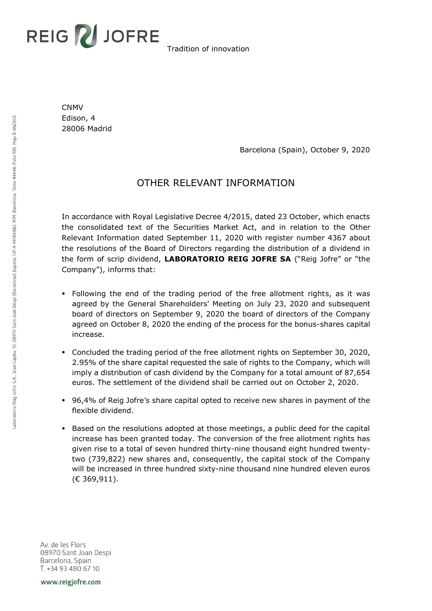## **REIG Z JOFRE**

Tradition of innovation

CNMV Edison, 4 28006 Madrid

Barcelona (Spain), October 9, 2020

## OTHER RELEVANT INFORMATION

In accordance with Royal Legislative Decree 4/2015, dated 23 October, which enacts the consolidated text of the Securities Market Act, and in relation to the Other Relevant Information dated September 11, 2020 with register number 4367 about the resolutions of the Board of Directors regarding the distribution of a dividend in the form of scrip dividend, **LABORATORIO REIG JOFRE SA** ("Reig Jofre" or "the Company"), informs that:

- Following the end of the trading period of the free allotment rights, as it was agreed by the General Shareholders' Meeting on July 23, 2020 and subsequent board of directors on September 9, 2020 the board of directors of the Company agreed on October 8, 2020 the ending of the process for the bonus-shares capital increase.
- Concluded the trading period of the free allotment rights on September 30, 2020, 2.95% of the share capital requested the sale of rights to the Company, which will imply a distribution of cash dividend by the Company for a total amount of 87,654 euros. The settlement of the dividend shall be carried out on October 2, 2020.
- 96,4% of Reig Jofre's share capital opted to receive new shares in payment of the flexible dividend.
- Based on the resolutions adopted at those meetings, a public deed for the capital increase has been granted today. The conversion of the free allotment rights has given rise to a total of seven hundred thirty-nine thousand eight hundred twentytwo (739,822) new shares and, consequently, the capital stock of the Company will be increased in three hundred sixty-nine thousand nine hundred eleven euros (€ 369,911).

Av. de les Flors 08970 Sant Joan Despi Barcelona, Spain T. +34 93 480 67 10

www.reigjofre.com